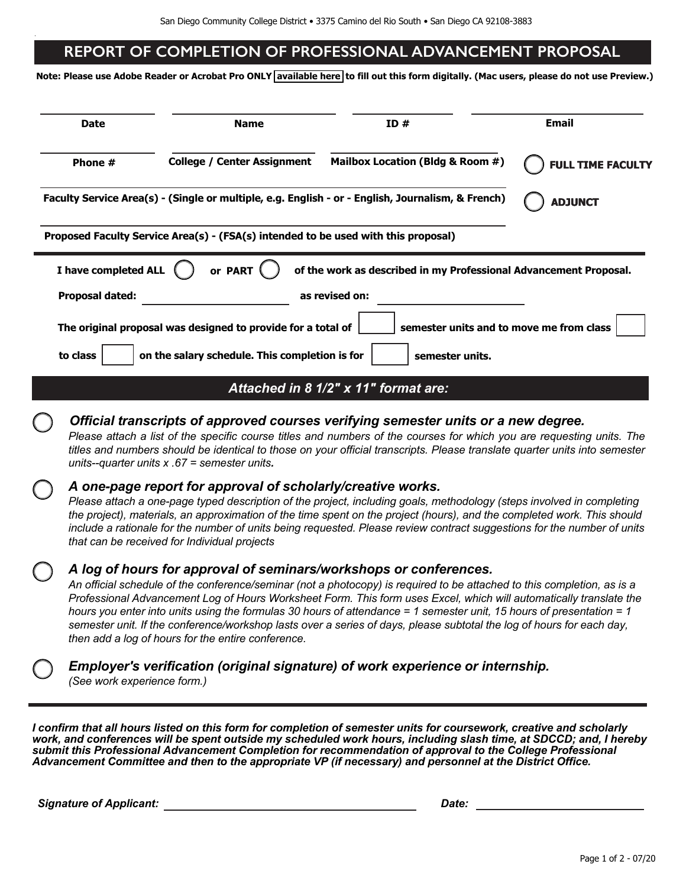## REPORT OF COMPLETION OF PROFESSIONAL ADVANCEMENT PROPOSAL

**Note: Please use Adobe Reader or Acrobat Pro ONLY available here to fill out this form digitally. (Mac users, please do not use Preview.)**

| <b>Date</b><br>Phone # |                                                                                                                                                                                                                                                                                                                                                                                                                                                                                                                                                                                                                           | <b>Name</b>                                                                        | ID#                                                                                               | Email<br><b>FULL TIME FACULTY</b> |  |  |  |  |
|------------------------|---------------------------------------------------------------------------------------------------------------------------------------------------------------------------------------------------------------------------------------------------------------------------------------------------------------------------------------------------------------------------------------------------------------------------------------------------------------------------------------------------------------------------------------------------------------------------------------------------------------------------|------------------------------------------------------------------------------------|---------------------------------------------------------------------------------------------------|-----------------------------------|--|--|--|--|
|                        |                                                                                                                                                                                                                                                                                                                                                                                                                                                                                                                                                                                                                           | <b>College / Center Assignment</b>                                                 | Mailbox Location (Bldg & Room #)                                                                  |                                   |  |  |  |  |
|                        |                                                                                                                                                                                                                                                                                                                                                                                                                                                                                                                                                                                                                           |                                                                                    | Faculty Service Area(s) - (Single or multiple, e.g. English - or - English, Journalism, & French) | <b>ADJUNCT</b>                    |  |  |  |  |
|                        |                                                                                                                                                                                                                                                                                                                                                                                                                                                                                                                                                                                                                           | Proposed Faculty Service Area(s) - (FSA(s) intended to be used with this proposal) |                                                                                                   |                                   |  |  |  |  |
|                        | I have completed ALL                                                                                                                                                                                                                                                                                                                                                                                                                                                                                                                                                                                                      | or PART                                                                            | of the work as described in my Professional Advancement Proposal.                                 |                                   |  |  |  |  |
|                        | <b>Proposal dated:</b>                                                                                                                                                                                                                                                                                                                                                                                                                                                                                                                                                                                                    |                                                                                    | as revised on:                                                                                    |                                   |  |  |  |  |
|                        |                                                                                                                                                                                                                                                                                                                                                                                                                                                                                                                                                                                                                           | The original proposal was designed to provide for a total of                       | semester units and to move me from class                                                          |                                   |  |  |  |  |
|                        |                                                                                                                                                                                                                                                                                                                                                                                                                                                                                                                                                                                                                           |                                                                                    |                                                                                                   |                                   |  |  |  |  |
|                        | to class                                                                                                                                                                                                                                                                                                                                                                                                                                                                                                                                                                                                                  | on the salary schedule. This completion is for                                     | semester units.                                                                                   |                                   |  |  |  |  |
|                        |                                                                                                                                                                                                                                                                                                                                                                                                                                                                                                                                                                                                                           |                                                                                    | Attached in 8 1/2" x 11" format are:                                                              |                                   |  |  |  |  |
|                        | Official transcripts of approved courses verifying semester units or a new degree.<br>Please attach a list of the specific course titles and numbers of the courses for which you are requesting units. The<br>titles and numbers should be identical to those on your official transcripts. Please translate quarter units into semester<br>units--quarter units $x .67$ = semester units.                                                                                                                                                                                                                               |                                                                                    |                                                                                                   |                                   |  |  |  |  |
|                        | A one-page report for approval of scholarly/creative works.<br>Please attach a one-page typed description of the project, including goals, methodology (steps involved in completing<br>the project), materials, an approximation of the time spent on the project (hours), and the completed work. This should<br>include a rationale for the number of units being requested. Please review contract suggestions for the number of units<br>that can be received for Individual projects                                                                                                                                |                                                                                    |                                                                                                   |                                   |  |  |  |  |
|                        | A log of hours for approval of seminars/workshops or conferences.<br>An official schedule of the conference/seminar (not a photocopy) is required to be attached to this completion, as is a<br>Professional Advancement Log of Hours Worksheet Form. This form uses Excel, which will automatically translate the<br>hours you enter into units using the formulas 30 hours of attendance = 1 semester unit, 15 hours of presentation = 1<br>semester unit. If the conference/workshop lasts over a series of days, please subtotal the log of hours for each day,<br>then add a log of hours for the entire conference. |                                                                                    |                                                                                                   |                                   |  |  |  |  |
|                        | (See work experience form.)                                                                                                                                                                                                                                                                                                                                                                                                                                                                                                                                                                                               |                                                                                    | Employer's verification (original signature) of work experience or internship.                    |                                   |  |  |  |  |

*I confirm that all hours listed on this form for completion of semester units for coursework, creative and scholarly work, and conferences will be spent outside my scheduled work hours, including slash time, at SDCCD; and, I hereby submit this Professional Advancement Completion for recommendation of approval to the College Professional Advancement Committee and then to the appropriate VP (if necessary) and personnel at the District Office.*

*Signature of Applicant: Date:*